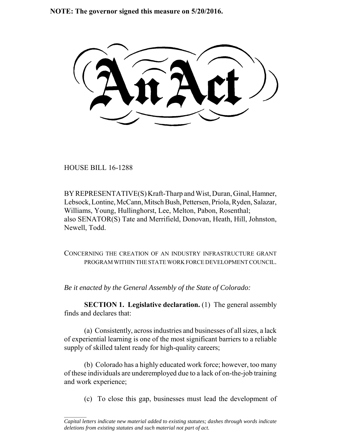**NOTE: The governor signed this measure on 5/20/2016.**

HOUSE BILL 16-1288

 $\frac{1}{2}$ 

BY REPRESENTATIVE(S) Kraft-Tharp and Wist, Duran, Ginal, Hamner, Lebsock, Lontine, McCann, Mitsch Bush, Pettersen, Priola, Ryden, Salazar, Williams, Young, Hullinghorst, Lee, Melton, Pabon, Rosenthal; also SENATOR(S) Tate and Merrifield, Donovan, Heath, Hill, Johnston, Newell, Todd.

CONCERNING THE CREATION OF AN INDUSTRY INFRASTRUCTURE GRANT PROGRAM WITHIN THE STATE WORK FORCE DEVELOPMENT COUNCIL.

*Be it enacted by the General Assembly of the State of Colorado:*

**SECTION 1. Legislative declaration.** (1) The general assembly finds and declares that:

(a) Consistently, across industries and businesses of all sizes, a lack of experiential learning is one of the most significant barriers to a reliable supply of skilled talent ready for high-quality careers;

(b) Colorado has a highly educated work force; however, too many of these individuals are underemployed due to a lack of on-the-job training and work experience;

(c) To close this gap, businesses must lead the development of

*Capital letters indicate new material added to existing statutes; dashes through words indicate deletions from existing statutes and such material not part of act.*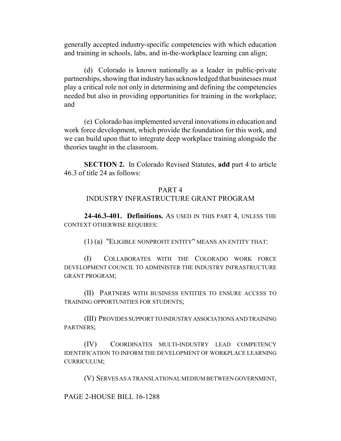generally accepted industry-specific competencies with which education and training in schools, labs, and in-the-workplace learning can align;

(d) Colorado is known nationally as a leader in public-private partnerships, showing that industry has acknowledged that businesses must play a critical role not only in determining and defining the competencies needed but also in providing opportunities for training in the workplace; and

(e) Colorado has implemented several innovations in education and work force development, which provide the foundation for this work, and we can build upon that to integrate deep workplace training alongside the theories taught in the classroom.

**SECTION 2.** In Colorado Revised Statutes, **add** part 4 to article 46.3 of title 24 as follows:

## PART 4

## INDUSTRY INFRASTRUCTURE GRANT PROGRAM

**24-46.3-401. Definitions.** AS USED IN THIS PART 4, UNLESS THE CONTEXT OTHERWISE REQUIRES:

(1) (a) "ELIGIBLE NONPROFIT ENTITY" MEANS AN ENTITY THAT:

(I) COLLABORATES WITH THE COLORADO WORK FORCE DEVELOPMENT COUNCIL TO ADMINISTER THE INDUSTRY INFRASTRUCTURE GRANT PROGRAM;

(II) PARTNERS WITH BUSINESS ENTITIES TO ENSURE ACCESS TO TRAINING OPPORTUNITIES FOR STUDENTS;

(III) PROVIDES SUPPORT TO INDUSTRY ASSOCIATIONS AND TRAINING PARTNERS;

(IV) COORDINATES MULTI-INDUSTRY LEAD COMPETENCY IDENTIFICATION TO INFORM THE DEVELOPMENT OF WORKPLACE LEARNING CURRICULUM;

(V) SERVES AS A TRANSLATIONAL MEDIUM BETWEEN GOVERNMENT,

PAGE 2-HOUSE BILL 16-1288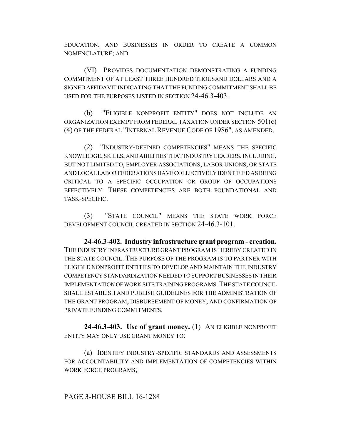EDUCATION, AND BUSINESSES IN ORDER TO CREATE A COMMON NOMENCLATURE; AND

(VI) PROVIDES DOCUMENTATION DEMONSTRATING A FUNDING COMMITMENT OF AT LEAST THREE HUNDRED THOUSAND DOLLARS AND A SIGNED AFFIDAVIT INDICATING THAT THE FUNDING COMMITMENT SHALL BE USED FOR THE PURPOSES LISTED IN SECTION 24-46.3-403.

(b) "ELIGIBLE NONPROFIT ENTITY" DOES NOT INCLUDE AN ORGANIZATION EXEMPT FROM FEDERAL TAXATION UNDER SECTION 501(c) (4) OF THE FEDERAL "INTERNAL REVENUE CODE OF 1986", AS AMENDED.

(2) "INDUSTRY-DEFINED COMPETENCIES" MEANS THE SPECIFIC KNOWLEDGE, SKILLS, AND ABILITIES THAT INDUSTRY LEADERS, INCLUDING, BUT NOT LIMITED TO, EMPLOYER ASSOCIATIONS, LABOR UNIONS, OR STATE AND LOCAL LABOR FEDERATIONS HAVE COLLECTIVELY IDENTIFIED AS BEING CRITICAL TO A SPECIFIC OCCUPATION OR GROUP OF OCCUPATIONS EFFECTIVELY. THESE COMPETENCIES ARE BOTH FOUNDATIONAL AND TASK-SPECIFIC.

(3) "STATE COUNCIL" MEANS THE STATE WORK FORCE DEVELOPMENT COUNCIL CREATED IN SECTION 24-46.3-101.

**24-46.3-402. Industry infrastructure grant program - creation.** THE INDUSTRY INFRASTRUCTURE GRANT PROGRAM IS HEREBY CREATED IN THE STATE COUNCIL. THE PURPOSE OF THE PROGRAM IS TO PARTNER WITH ELIGIBLE NONPROFIT ENTITIES TO DEVELOP AND MAINTAIN THE INDUSTRY COMPETENCY STANDARDIZATION NEEDED TO SUPPORT BUSINESSES IN THEIR IMPLEMENTATION OF WORK SITE TRAINING PROGRAMS.THE STATE COUNCIL SHALL ESTABLISH AND PUBLISH GUIDELINES FOR THE ADMINISTRATION OF THE GRANT PROGRAM, DISBURSEMENT OF MONEY, AND CONFIRMATION OF PRIVATE FUNDING COMMITMENTS.

**24-46.3-403. Use of grant money.** (1) AN ELIGIBLE NONPROFIT ENTITY MAY ONLY USE GRANT MONEY TO:

(a) IDENTIFY INDUSTRY-SPECIFIC STANDARDS AND ASSESSMENTS FOR ACCOUNTABILITY AND IMPLEMENTATION OF COMPETENCIES WITHIN WORK FORCE PROGRAMS;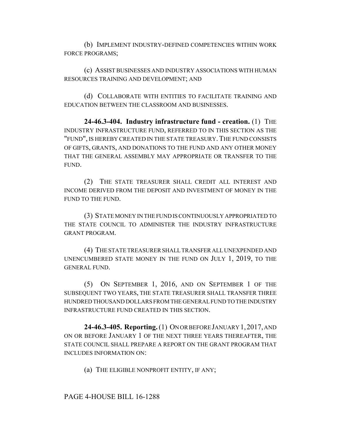(b) IMPLEMENT INDUSTRY-DEFINED COMPETENCIES WITHIN WORK FORCE PROGRAMS;

(c) ASSIST BUSINESSES AND INDUSTRY ASSOCIATIONS WITH HUMAN RESOURCES TRAINING AND DEVELOPMENT; AND

(d) COLLABORATE WITH ENTITIES TO FACILITATE TRAINING AND EDUCATION BETWEEN THE CLASSROOM AND BUSINESSES.

**24-46.3-404. Industry infrastructure fund - creation.** (1) THE INDUSTRY INFRASTRUCTURE FUND, REFERRED TO IN THIS SECTION AS THE "FUND", IS HEREBY CREATED IN THE STATE TREASURY.THE FUND CONSISTS OF GIFTS, GRANTS, AND DONATIONS TO THE FUND AND ANY OTHER MONEY THAT THE GENERAL ASSEMBLY MAY APPROPRIATE OR TRANSFER TO THE FUND.

(2) THE STATE TREASURER SHALL CREDIT ALL INTEREST AND INCOME DERIVED FROM THE DEPOSIT AND INVESTMENT OF MONEY IN THE FUND TO THE FUND.

(3) STATE MONEY IN THE FUND IS CONTINUOUSLY APPROPRIATED TO THE STATE COUNCIL TO ADMINISTER THE INDUSTRY INFRASTRUCTURE GRANT PROGRAM.

(4) THE STATE TREASURER SHALL TRANSFER ALL UNEXPENDED AND UNENCUMBERED STATE MONEY IN THE FUND ON JULY 1, 2019, TO THE GENERAL FUND.

(5) ON SEPTEMBER 1, 2016, AND ON SEPTEMBER 1 OF THE SUBSEQUENT TWO YEARS, THE STATE TREASURER SHALL TRANSFER THREE HUNDRED THOUSAND DOLLARS FROM THE GENERAL FUND TO THE INDUSTRY INFRASTRUCTURE FUND CREATED IN THIS SECTION.

**24-46.3-405. Reporting.** (1) ON OR BEFORE JANUARY 1,2017, AND ON OR BEFORE JANUARY 1 OF THE NEXT THREE YEARS THEREAFTER, THE STATE COUNCIL SHALL PREPARE A REPORT ON THE GRANT PROGRAM THAT INCLUDES INFORMATION ON:

(a) THE ELIGIBLE NONPROFIT ENTITY, IF ANY;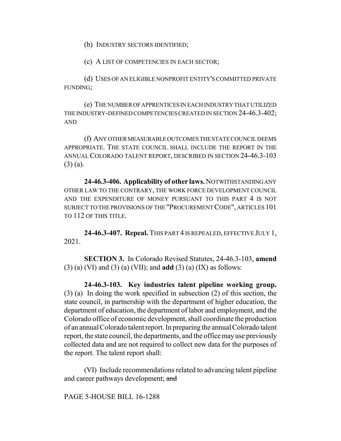(b) INDUSTRY SECTORS IDENTIFIED;

(c) A LIST OF COMPETENCIES IN EACH SECTOR;

(d) USES OF AN ELIGIBLE NONPROFIT ENTITY'S COMMITTED PRIVATE FUNDING;

(e) THE NUMBER OF APPRENTICES IN EACH INDUSTRY THAT UTILIZED THE INDUSTRY-DEFINED COMPETENCIES CREATED IN SECTION 24-46.3-402; AND

(f) ANY OTHER MEASURABLE OUTCOMES THE STATE COUNCIL DEEMS APPROPRIATE. THE STATE COUNCIL SHALL INCLUDE THE REPORT IN THE ANNUAL COLORADO TALENT REPORT, DESCRIBED IN SECTION 24-46.3-103 (3) (a).

**24-46.3-406. Applicability of other laws.** NOTWITHSTANDING ANY OTHER LAW TO THE CONTRARY, THE WORK FORCE DEVELOPMENT COUNCIL AND THE EXPENDITURE OF MONEY PURSUANT TO THIS PART 4 IS NOT SUBJECT TO THE PROVISIONS OF THE "PROCUREMENT CODE", ARTICLES 101 TO 112 OF THIS TITLE.

**24-46.3-407. Repeal.** THIS PART 4 IS REPEALED, EFFECTIVE JULY 1, 2021.

**SECTION 3.** In Colorado Revised Statutes, 24-46.3-103, **amend** (3) (a) (VI) and (3) (a) (VII); and **add** (3) (a) (IX) as follows:

**24-46.3-103. Key industries talent pipeline working group.** (3) (a) In doing the work specified in subsection (2) of this section, the state council, in partnership with the department of higher education, the department of education, the department of labor and employment, and the Colorado office of economic development, shall coordinate the production of an annual Colorado talent report. In preparing the annual Colorado talent report, the state council, the departments, and the office may use previously collected data and are not required to collect new data for the purposes of the report. The talent report shall:

(VI) Include recommendations related to advancing talent pipeline and career pathways development; and

PAGE 5-HOUSE BILL 16-1288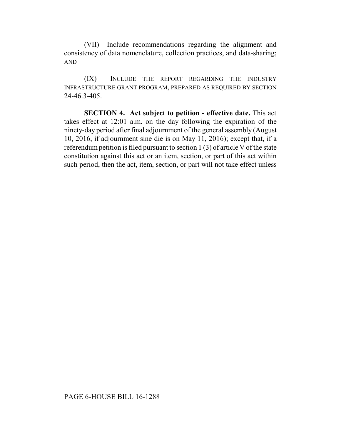(VII) Include recommendations regarding the alignment and consistency of data nomenclature, collection practices, and data-sharing; AND

(IX) INCLUDE THE REPORT REGARDING THE INDUSTRY INFRASTRUCTURE GRANT PROGRAM, PREPARED AS REQUIRED BY SECTION 24-46.3-405.

**SECTION 4. Act subject to petition - effective date.** This act takes effect at 12:01 a.m. on the day following the expiration of the ninety-day period after final adjournment of the general assembly (August 10, 2016, if adjournment sine die is on May 11, 2016); except that, if a referendum petition is filed pursuant to section 1 (3) of article V of the state constitution against this act or an item, section, or part of this act within such period, then the act, item, section, or part will not take effect unless